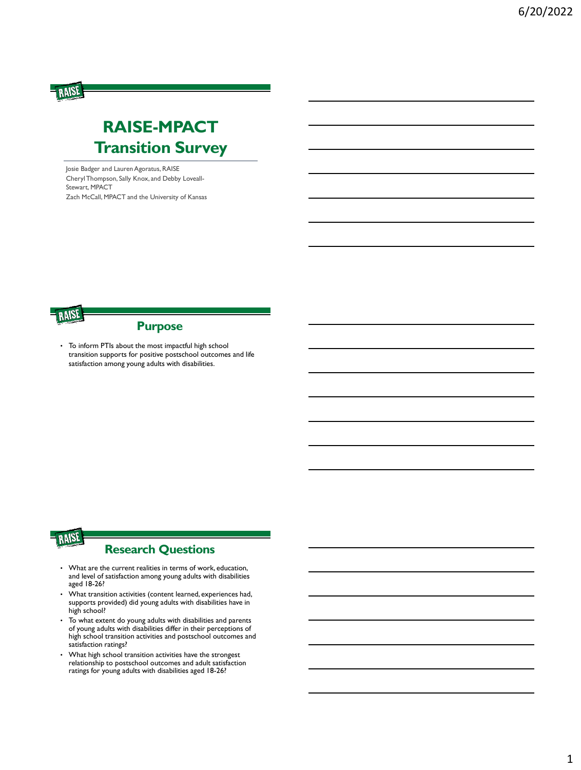# **RAISE-MPACT Transition Survey**

Josie Badger and Lauren Agoratus, RAISE Cheryl Thompson, Sally Knox, and Debby Loveall-Stewart, MPACT Zach McCall, MPACT and the University of Kansas



RAISE

#### **Purpose**

• To inform PTIs about the most impactful high school transition supports for positive postschool outcomes and life satisfaction among young adults with disabilities.



#### **Research Questions**

- What are the current realities in terms of work, education, and level of satisfaction among young adults with disabilities aged 18-26?
- What transition activities (content learned, experiences had, supports provided) did young adults with disabilities have in high school?
- To what extent do young adults with disabilities and parents of young adults with disabilities differ in their perceptions of high school transition activities and postschool outcomes and satisfaction ratings?
- What high school transition activities have the strongest relationship to postschool outcomes and adult satisfaction ratings for young adults with disabilities aged 18-26?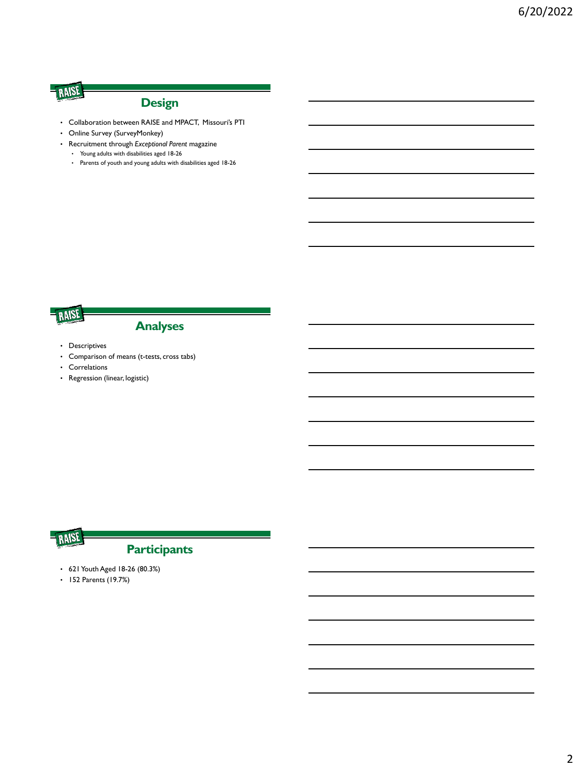## **Design**

- Collaboration between RAISE and MPACT, Missouri's PTI
- Online Survey (SurveyMonkey)
- Recruitment through *Exceptional Parent* magazine
	- Young adults with disabilities aged 18-26
	- Parents of youth and young adults with disabilities aged 18-26

# RAISE

#### **Analyses**

- Descriptives
- Comparison of means (t-tests, cross tabs)
- Correlations
- Regression (linear, logistic)



# **Participants**

- 621 Youth Aged 18-26 (80.3%)
- 152 Parents (19.7%)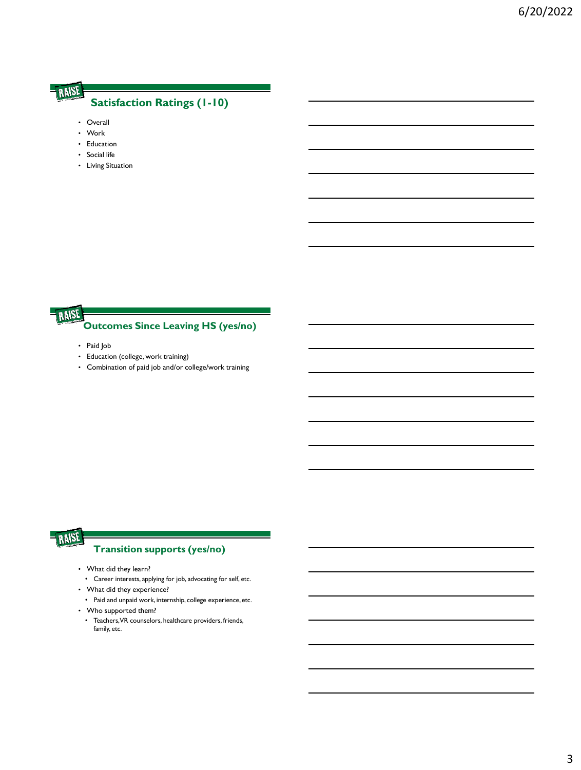#### **Satisfaction Ratings (1-10)**

- Overall
- Work
- Education
- Social life
- Living Situation

## RAISE

#### **Outcomes Since Leaving HS (yes/no)**

- Paid Job
- Education (college, work training)
- Combination of paid job and/or college/work training

## RAISE

#### **Transition supports (yes/no)**

- What did they learn?
	- Career interests, applying for job, advocating for self, etc.
- What did they experience?
	- Paid and unpaid work, internship, college experience, etc.
- Who supported them?
	- Teachers, VR counselors, healthcare providers, friends, family, etc.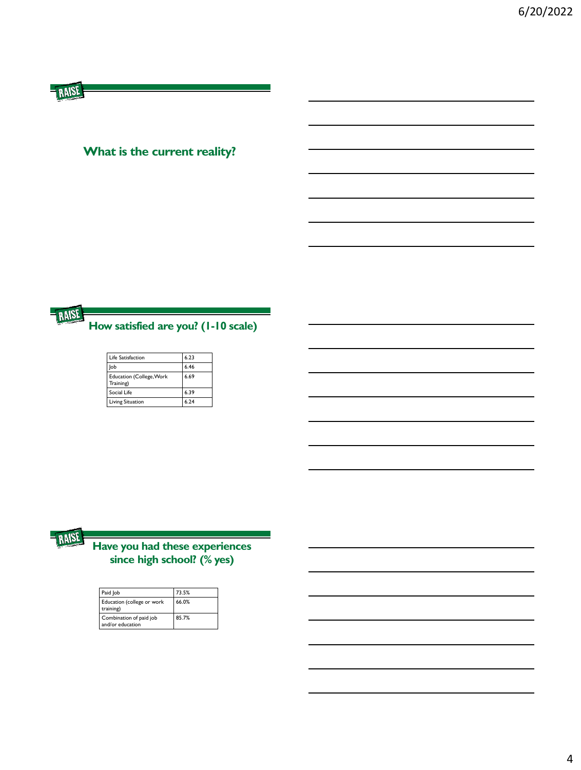## **What is the current reality?**



| Life Satisfaction                            | 6.23 |
|----------------------------------------------|------|
| lob                                          | 6.46 |
| <b>Education (College, Work</b><br>Training) | 6.69 |
| Social Life                                  | 6.39 |
| <b>Living Situation</b>                      | 6.74 |



## **Have you had these experiences since high school? (% yes)**

| Paid Job                                    | 73.5% |
|---------------------------------------------|-------|
| Education (college or work<br>training)     | 66.0% |
| Combination of paid job<br>and/or education | 85.7% |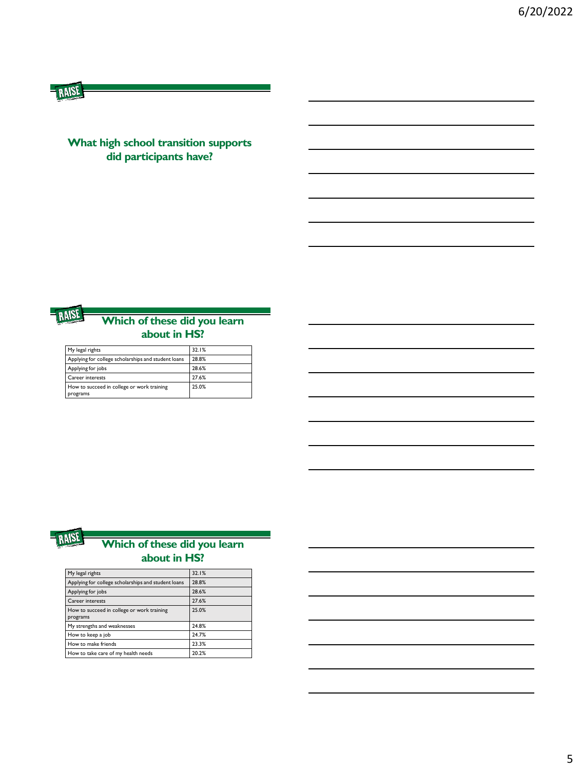#### **What high school transition supports did participants have?**



#### **Which of these did you learn about in HS?**

| My legal rights                                        | 32.1% |
|--------------------------------------------------------|-------|
| Applying for college scholarships and student loans    | 28.8% |
| Applying for jobs                                      | 28.6% |
| <b>Career interests</b>                                | 27.6% |
| How to succeed in college or work training<br>programs | 25.0% |



#### **Which of these did you learn about in HS?**

| My legal rights                                        | 32.1% |
|--------------------------------------------------------|-------|
| Applying for college scholarships and student loans    | 28.8% |
| Applying for jobs                                      | 28.6% |
| Career interests                                       | 27.6% |
| How to succeed in college or work training<br>programs | 25.0% |
| My strengths and weaknesses                            | 24.8% |
| How to keep a job                                      | 24.7% |
| How to make friends                                    | 23.3% |
| How to take care of my health needs                    | 20.2% |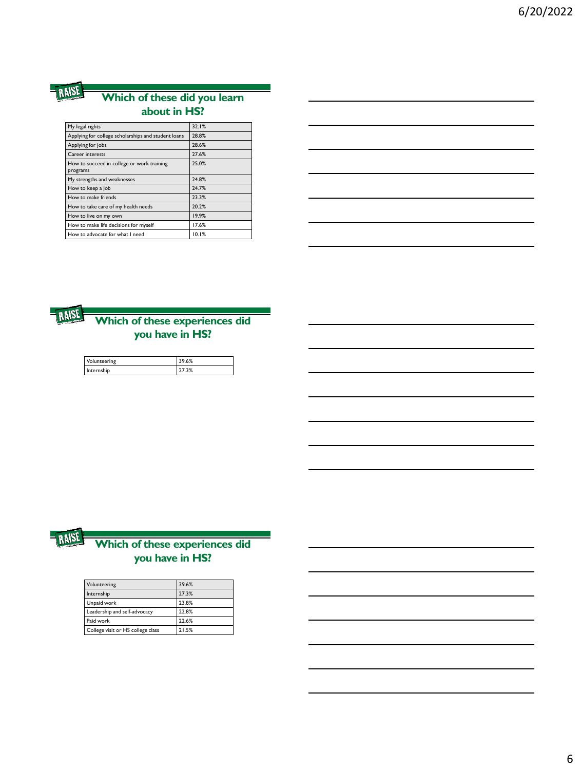#### **Which of these did you learn about in HS?**

| My legal rights                                        | 32.1% |
|--------------------------------------------------------|-------|
| Applying for college scholarships and student loans    | 28.8% |
| Applying for jobs                                      | 28.6% |
| Career interests                                       | 27.6% |
| How to succeed in college or work training<br>programs | 25.0% |
| My strengths and weaknesses                            | 24.8% |
| How to keep a job                                      | 24.7% |
| How to make friends                                    | 23.3% |
| How to take care of my health needs                    | 20.2% |
| How to live on my own                                  | 19.9% |
| How to make life decisions for myself                  | 17.6% |
| How to advocate for what I need                        | 10.1% |
|                                                        |       |



#### **Which of these experiences did you have in HS?**

| Volunteering | 39.6% |
|--------------|-------|
| Internship   | 27.3% |



#### **Which of these experiences did you have in HS?**

| Volunteering                      | 39.6% |
|-----------------------------------|-------|
| Internship                        | 27.3% |
| Unpaid work                       | 23.8% |
| Leadership and self-advocacy      | 22.8% |
| Paid work                         | 22.6% |
| College visit or HS college class | 21.5% |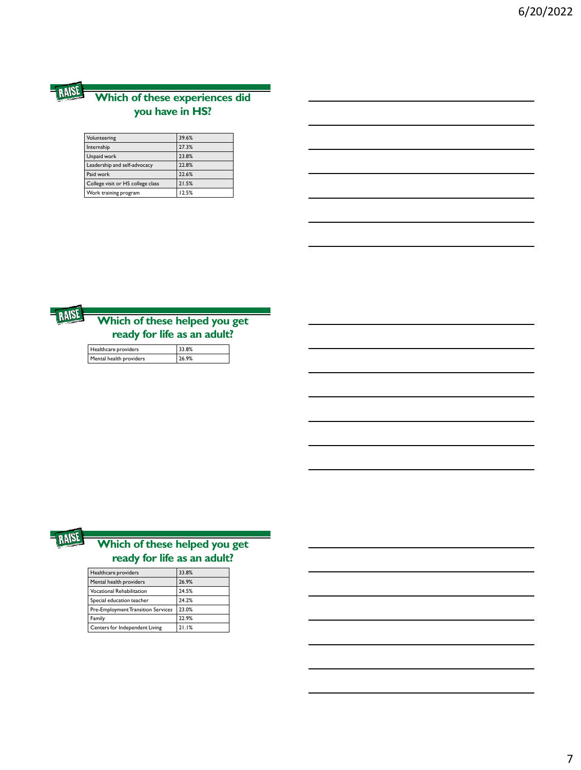#### **Which of these experiences did you have in HS?**

| Volunteering                      | 39.6% |
|-----------------------------------|-------|
| Internship                        | 27.3% |
| Unpaid work                       | 23.8% |
| Leadership and self-advocacy      | 22.8% |
| Paid work                         | 22.6% |
| College visit or HS college class | 21.5% |
| Work training program             | 12.5% |



## **Which of these helped you get ready for life as an adult?**

| Healthcare providers    | 33.8% |
|-------------------------|-------|
| Mental health providers | 26.9% |



## **Which of these helped you get ready for life as an adult?**

| Healthcare providers                      | 33.8% |
|-------------------------------------------|-------|
| Mental health providers                   | 26.9% |
| <b>Vocational Rehabilitation</b>          | 24.5% |
| Special education teacher                 | 24.2% |
| <b>Pre-Employment Transition Services</b> | 23.0% |
| Family                                    | 22.9% |
| Centers for Independent Living            | 21.1% |
|                                           |       |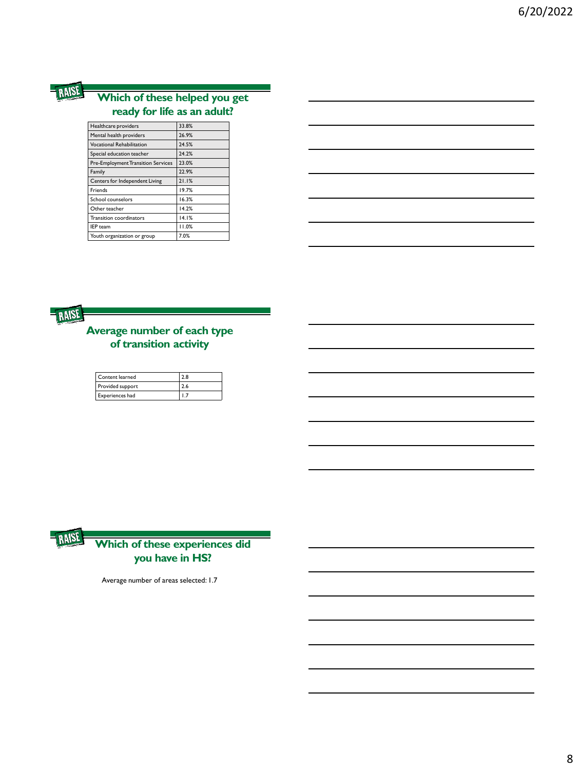

#### **Which of these helped you get ready for life as an adult?**

| Healthcare providers                      | 33.8% |
|-------------------------------------------|-------|
| Mental health providers                   | 26.9% |
| <b>Vocational Rehabilitation</b>          | 24.5% |
| Special education teacher                 | 24.2% |
| <b>Pre-Employment Transition Services</b> | 23.0% |
| Family                                    | 22.9% |
| Centers for Independent Living            | 21.1% |
| <b>Friends</b>                            | 19.7% |
| School counselors                         | 16.3% |
| Other teacher                             | 14.2% |
| <b>Transition coordinators</b>            | 14.1% |
| <b>IEP</b> team                           | 11.0% |
| Youth organization or group               | 7.0%  |

|      | 33.8% |  |
|------|-------|--|
|      | 26.9% |  |
|      | 24.5% |  |
|      | 24.2% |  |
| ices | 23.0% |  |
|      | 22.9% |  |
|      | 21.1% |  |
|      | 19.7% |  |
|      | 16.3% |  |
|      | 14.2% |  |
|      | 14.1% |  |
|      | 11.0% |  |
|      | 7.0%  |  |
|      |       |  |



#### **Average number of each type of transition activity**

| Content learned  | 2.8 |
|------------------|-----|
| Provided support | 2.6 |
| Experiences had  |     |



#### **Which of these experiences did you have in HS?**

Average number of areas selected: 1.7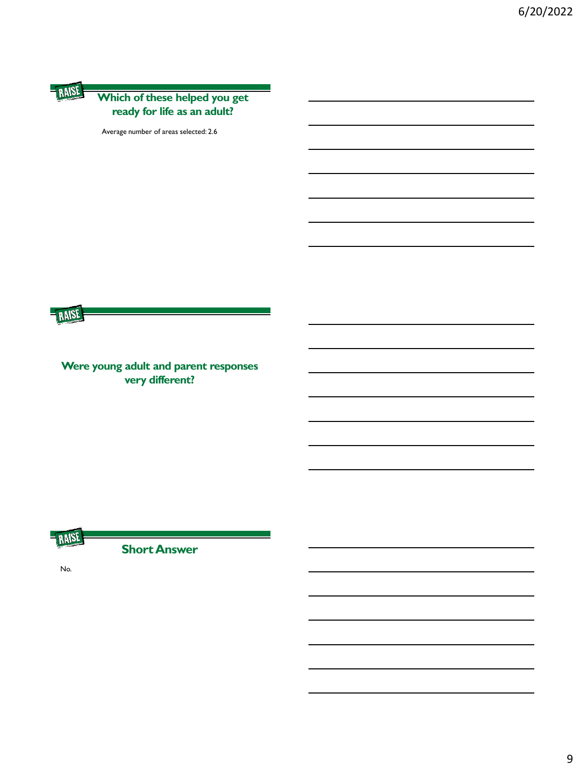#### **Which of these helped you get ready for life as an adult?**

Average number of areas selected: 2.6



**Were young adult and parent responses very different?** 



**Short Answer**

No.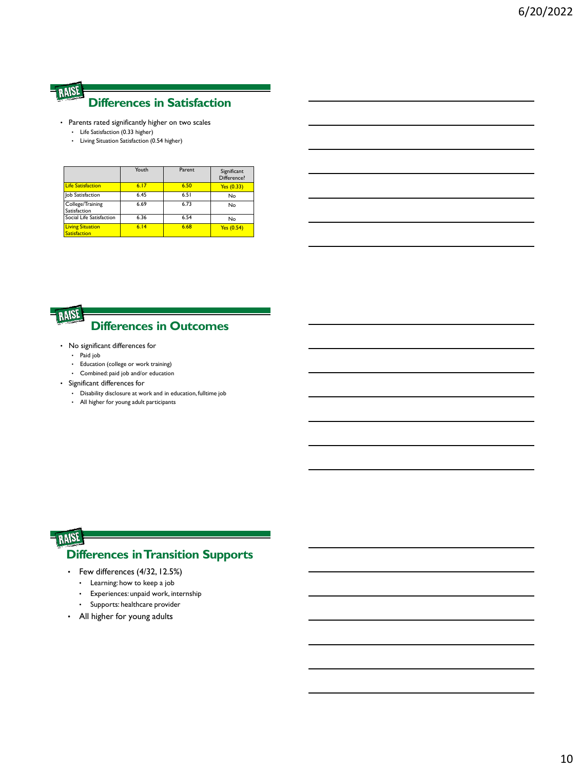#### RAISE **Differences in Satisfaction**

- Parents rated significantly higher on two scales
	- Life Satisfaction (0.33 higher)
	- Living Situation Satisfaction (0.54 higher)

|                                                | Youth | Parent | Significant<br>Difference? |
|------------------------------------------------|-------|--------|----------------------------|
| <b>Life Satisfaction</b>                       | 6.17  | 6.50   | Yes (0.33)                 |
| Job Satisfaction                               | 6.45  | 6.51   | No                         |
| College/Training<br>Satisfaction               | 6.69  | 6.73   | No                         |
| Social Life Satisfaction                       | 6.36  | 6.54   | No                         |
| <b>Living Situation</b><br><b>Satisfaction</b> | 6.14  | 6.68   | Yes (0.54)                 |



## **Differences in Outcomes**

- No significant differences for
	- Paid job
	- Education (college or work training)
	- Combined: paid job and/or education
- Significant differences for
	- Disability disclosure at work and in education, fulltime job
	- All higher for young adult participants

## RAISI **Differences in Transition Supports**

- Few differences (4/32, 12.5%)
	- Learning: how to keep a job
	- Experiences: unpaid work, internship
	- Supports: healthcare provider
- All higher for young adults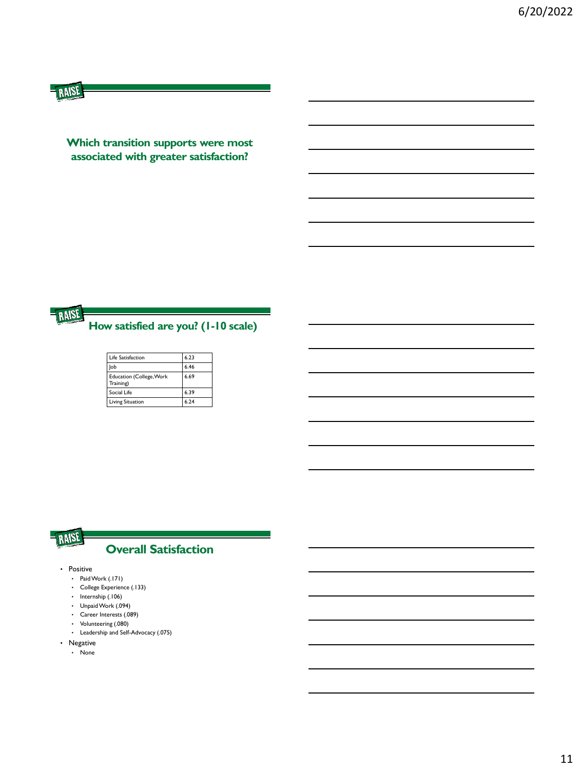**Which transition supports were most associated with greater satisfaction?** 



**How satisfied are you? (1-10 scale)**

| Life Satisfaction                            | 6.23 |
|----------------------------------------------|------|
| lob                                          | 6.46 |
| <b>Education (College, Work</b><br>Training) | 6.69 |
| Social Life                                  | 6.39 |
| Living Situation                             | 6.74 |



#### **Overall Satisfaction**

- Positive
	- Paid Work (.171)
	- College Experience (.133)
	- Internship (.106)
	- Unpaid Work (.094)
	- Career Interests (.089)
	- Volunteering (.080)
	- Leadership and Self-Advocacy (.075)
- Negative
	- None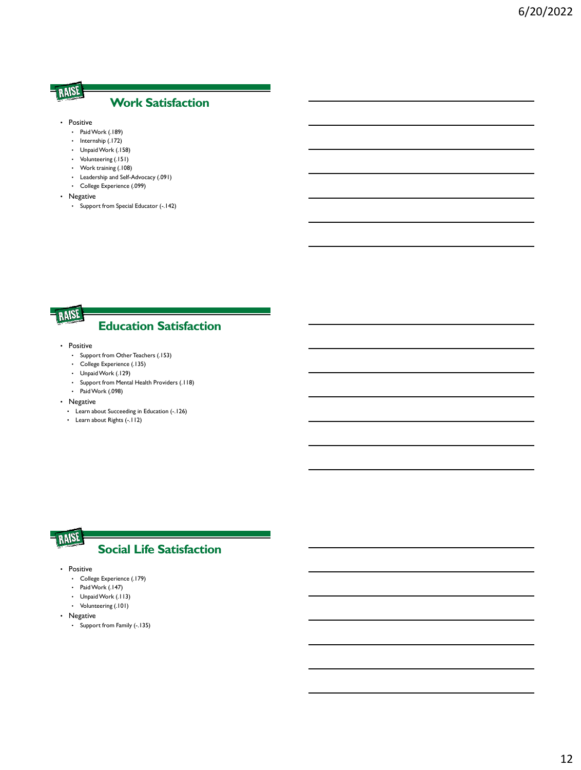#### **Work Satisfaction**

- Positive
	- Paid Work (.189)
	- Internship (.172)
	- Unpaid Work (.158)
	- Volunteering (.151)
	- Work training (.108)
	- Leadership and Self-Advocacy (.091)
	- College Experience (.099)
- Negative
	- Support from Special Educator (-.142)



## **Education Satisfaction**

- Positive
	- Support from Other Teachers (.153)
	- College Experience (.135)
	- Unpaid Work (.129)
	- Support from Mental Health Providers (.118)
	- Paid Work (.098)

• Negative

- Learn about Succeeding in Education (-.126)
- Learn about Rights (-.112)

#### RAISE **Social Life Satisfaction**

- Positive
	- College Experience (.179)
	- Paid Work (.147)
	- Unpaid Work (.113)
	- Volunteering (.101)
- Negative
	- Support from Family (-.135)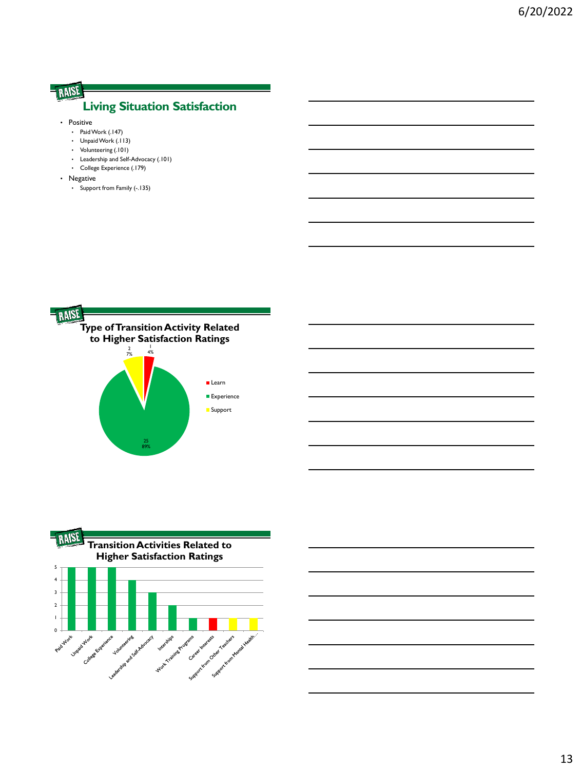## **Living Situation Satisfaction**

- Positive
	- Paid Work (.147)
	- Unpaid Work (.113)
	- Volunteering (.101)
	- Leadership and Self-Advocacy (.101)
	- College Experience (.179)
- Negative
	- Support from Family (-.135)





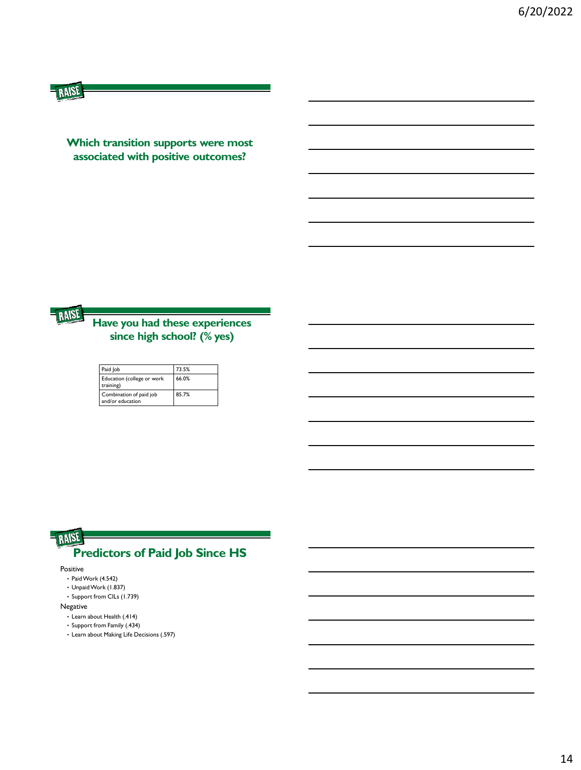**Which transition supports were most associated with positive outcomes?** 



#### **Have you had these experiences since high school? (% yes)**

| Paid Job                                    | 73.5% |
|---------------------------------------------|-------|
| Education (college or work<br>training)     | 66.0% |
| Combination of paid job<br>and/or education | 85.7% |

## RAISE **Predictors of Paid Job Since HS**

Positive

- Paid Work (4.542)
- Unpaid Work (1.837)
- Support from CILs (1.739)

#### Negative

- Learn about Health (.414)
- Support from Family (.434)
- Learn about Making Life Decisions (.597)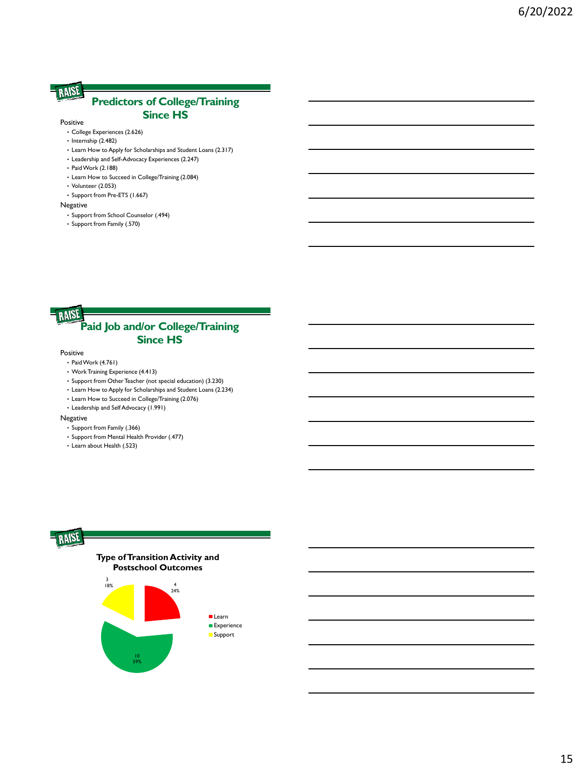#### **Predictors of College/Training Since HS**

#### Positive

- College Experiences (2.626)
- Internship (2.482)
- Learn How to Apply for Scholarships and Student Loans (2.317)
- Leadership and Self-Advocacy Experiences (2.247)
- Paid Work (2.188)
- Learn How to Succeed in College/Training (2.084)
- Volunteer (2.053)
- Support from Pre-ETS (1.667)

#### Negative

- Support from School Counselor (.494)
- Support from Family (.570)

#### RAISE **Paid Job and/or College/Training Since HS**

#### Positive

- Paid Work (4.761)
- Work Training Experience (4.413)
- Support from Other Teacher (not special education) (3.230)
- Learn How to Apply for Scholarships and Student Loans (2.234)
- Learn How to Succeed in College/Training (2.076)
- Leadership and Self Advocacy (1.991)

#### Negative

- Support from Family (.366)
- Support from Mental Health Provider (.477)
- Learn about Health (.523)

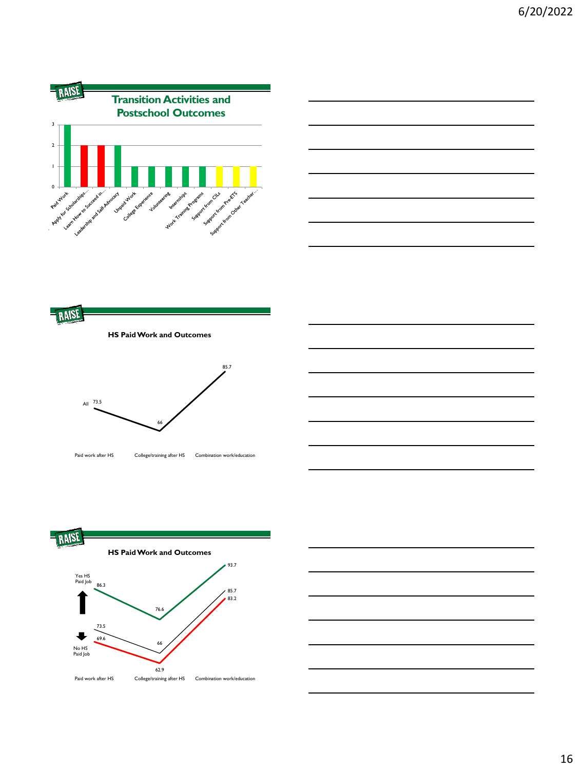









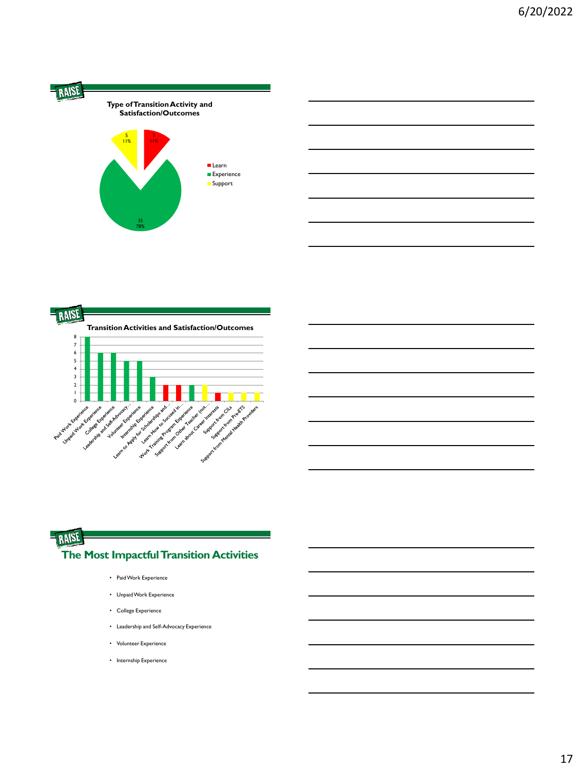

|                                                    | <b>Transition Activities and Satisfaction/Outcomes</b>                                                                  |
|----------------------------------------------------|-------------------------------------------------------------------------------------------------------------------------|
| 8                                                  |                                                                                                                         |
| 7                                                  |                                                                                                                         |
| 6                                                  |                                                                                                                         |
| 5                                                  |                                                                                                                         |
| 4                                                  |                                                                                                                         |
| 3                                                  |                                                                                                                         |
| $\overline{2}$                                     |                                                                                                                         |
|                                                    |                                                                                                                         |
| ı<br>0                                             |                                                                                                                         |
| Low days of a sk Aproval<br>University of Grandene | Learn North Science of the Company<br>Leen About Content Internet                                                       |
|                                                    |                                                                                                                         |
| Paid Montclaetere                                  | Volumeer Experience                                                                                                     |
|                                                    |                                                                                                                         |
|                                                    |                                                                                                                         |
|                                                    |                                                                                                                         |
|                                                    | Supplier of October 2 object for the control to the control of the control of the control of the control of the         |
|                                                    | Leave to Property and successive and in-<br>Work of Contractor September 2021<br>Sample Liver of Maria Maritime Revised |

## RAISE **The Most Impactful Transition Activities**

- Paid Work Experience
- Unpaid Work Experience
- College Experience
- Leadership and Self-Advocacy Experience
- Volunteer Experience
- Internship Experience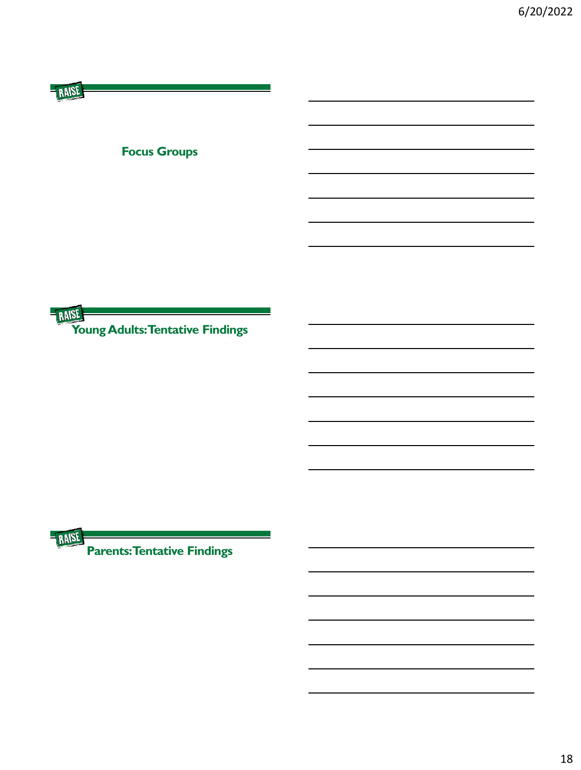| <b>Focus Groups</b>              |  |
|----------------------------------|--|
|                                  |  |
|                                  |  |
|                                  |  |
|                                  |  |
|                                  |  |
|                                  |  |
| Young Adults: Tentative Findings |  |



**PARISE PARISE PARISE PARISE**